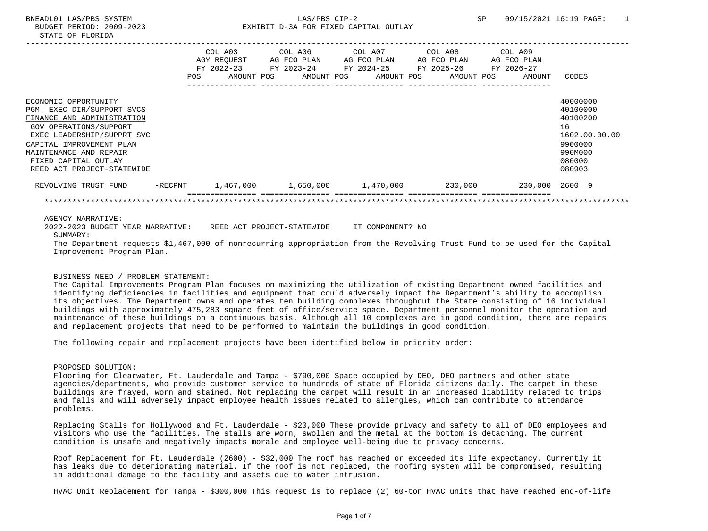# BNEADL01 LAS/PBS SYSTEM  $LAS/PBS$  CIP-2 SP 09/15/2021 16:19 PAGE: 1 BUDGET PERIOD: 2009-2023 EXHIBIT D-3A FOR FIXED CAPITAL OUTLAY

|                                                                                                                                                                                                                                                      | <b>POS</b> | FY 2022-23 | COL A03 COL A06 COL A07<br>AGY REOUEST AG FCO PLAN AG FCO PLAN AG FCO PLAN AG FCO PLAN<br>AMOUNT POS AMOUNT POS AMOUNT POS AMOUNT POS | COL A08 | COL A09<br>AMOUNT | CODES                                                                                             |
|------------------------------------------------------------------------------------------------------------------------------------------------------------------------------------------------------------------------------------------------------|------------|------------|---------------------------------------------------------------------------------------------------------------------------------------|---------|-------------------|---------------------------------------------------------------------------------------------------|
| ECONOMIC OPPORTUNITY<br>PGM: EXEC DIR/SUPPORT SVCS<br>FINANCE AND ADMINISTRATION<br>GOV OPERATIONS/SUPPORT<br>EXEC LEADERSHIP/SUPPRT SVC<br>CAPITAL IMPROVEMENT PLAN<br>MAINTENANCE AND REPAIR<br>FIXED CAPITAL OUTLAY<br>REED ACT PROJECT-STATEWIDE |            |            |                                                                                                                                       |         |                   | 40000000<br>40100000<br>40100200<br>16<br>1602.00.00.00<br>9900000<br>990M000<br>080000<br>080903 |
| REVOLVING TRUST FUND -RECPNT 1,467,000 1,650,000 1,470,000 230,000 230,000 230,000 2600 9                                                                                                                                                            |            |            |                                                                                                                                       |         |                   |                                                                                                   |
|                                                                                                                                                                                                                                                      |            |            |                                                                                                                                       |         |                   |                                                                                                   |
| AGENCY NARRATIVE:<br>2022-2023 BUDGET YEAR NARRATIVE: REED ACT PROJECT-STATEWIDE IT COMPONENT? NO<br>SUMMARY:<br>The Department requests \$1,467,000 of percessiving appropriation from the Peugluing Trust Fund to be used for the Capital          |            |            |                                                                                                                                       |         |                   |                                                                                                   |

 The Department requests \$1,467,000 of nonrecurring appropriation from the Revolving Trust Fund to be used for the Capital Improvement Program Plan.

# BUSINESS NEED / PROBLEM STATEMENT:

 The Capital Improvements Program Plan focuses on maximizing the utilization of existing Department owned facilities and identifying deficiencies in facilities and equipment that could adversely impact the Department's ability to accomplish its objectives. The Department owns and operates ten building complexes throughout the State consisting of 16 individual buildings with approximately 475,283 square feet of office/service space. Department personnel monitor the operation and maintenance of these buildings on a continuous basis. Although all 10 complexes are in good condition, there are repairs and replacement projects that need to be performed to maintain the buildings in good condition.

The following repair and replacement projects have been identified below in priority order:

## PROPOSED SOLUTION:

 Flooring for Clearwater, Ft. Lauderdale and Tampa - \$790,000 Space occupied by DEO, DEO partners and other state agencies/departments, who provide customer service to hundreds of state of Florida citizens daily. The carpet in these buildings are frayed, worn and stained. Not replacing the carpet will result in an increased liability related to trips and falls and will adversely impact employee health issues related to allergies, which can contribute to attendance problems.

 Replacing Stalls for Hollywood and Ft. Lauderdale - \$20,000 These provide privacy and safety to all of DEO employees and visitors who use the facilities. The stalls are worn, swollen and the metal at the bottom is detaching. The current condition is unsafe and negatively impacts morale and employee well-being due to privacy concerns.

 Roof Replacement for Ft. Lauderdale (2600) - \$32,000 The roof has reached or exceeded its life expectancy. Currently it has leaks due to deteriorating material. If the roof is not replaced, the roofing system will be compromised, resulting in additional damage to the facility and assets due to water intrusion.

HVAC Unit Replacement for Tampa - \$300,000 This request is to replace (2) 60-ton HVAC units that have reached end-of-life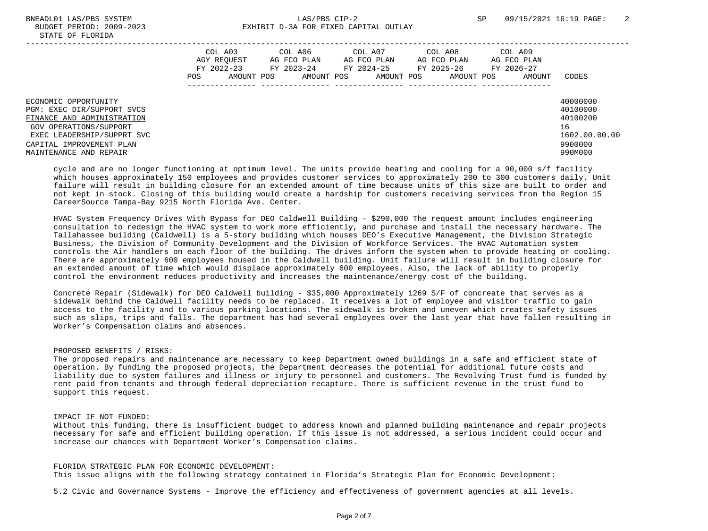|                                                                                                                                                                                                | COL A03<br>AGY REOUEST<br>FY 2022-23<br>POS | COL A06<br>AG FCO PLAN<br>FY 2023-24<br>AMOUNT POS<br>AMOUNT POS | COL A07<br>AG FCO PLAN<br>FY 2024-25<br>AMOUNT POS | COL A08<br>AG FCO PLAN<br>FY 2025-26<br>AMOUNT POS | COL A09<br>AG FCO PLAN<br>FY 2026-27<br>AMOUNT | CODES                                                                         |
|------------------------------------------------------------------------------------------------------------------------------------------------------------------------------------------------|---------------------------------------------|------------------------------------------------------------------|----------------------------------------------------|----------------------------------------------------|------------------------------------------------|-------------------------------------------------------------------------------|
| ECONOMIC OPPORTUNITY<br>PGM: EXEC DIR/SUPPORT SVCS<br>FINANCE AND ADMINISTRATION<br>GOV OPERATIONS/SUPPORT<br>EXEC LEADERSHIP/SUPPRT SVC<br>CAPITAL IMPROVEMENT PLAN<br>MAINTENANCE AND REPAIR |                                             |                                                                  |                                                    |                                                    |                                                | 40000000<br>40100000<br>40100200<br>16<br>1602.00.00.00<br>9900000<br>990M000 |

 cycle and are no longer functioning at optimum level. The units provide heating and cooling for a 90,000 s/f facility which houses approximately 150 employees and provides customer services to approximately 200 to 300 customers daily. Unit failure will result in building closure for an extended amount of time because units of this size are built to order and not kept in stock. Closing of this building would create a hardship for customers receiving services from the Region 15 CareerSource Tampa-Bay 9215 North Florida Ave. Center.

 HVAC System Frequency Drives With Bypass for DEO Caldwell Building - \$290,000 The request amount includes engineering consultation to redesign the HVAC system to work more efficiently, and purchase and install the necessary hardware. The Tallahassee building (Caldwell) is a 5-story building which houses DEO's Executive Management, the Division Strategic Business, the Division of Community Development and the Division of Workforce Services. The HVAC Automation system controls the Air handlers on each floor of the building. The drives inform the system when to provide heating or cooling. There are approximately 600 employees housed in the Caldwell building. Unit failure will result in building closure for an extended amount of time which would displace approximately 600 employees. Also, the lack of ability to properly control the environment reduces productivity and increases the maintenance/energy cost of the building.

 Concrete Repair (Sidewalk) for DEO Caldwell building - \$35,000 Approximately 1269 S/F of concreate that serves as a sidewalk behind the Caldwell facility needs to be replaced. It receives a lot of employee and visitor traffic to gain access to the facility and to various parking locations. The sidewalk is broken and uneven which creates safety issues such as slips, trips and falls. The department has had several employees over the last year that have fallen resulting in Worker's Compensation claims and absences.

# PROPOSED BENEFITS / RISKS:

 The proposed repairs and maintenance are necessary to keep Department owned buildings in a safe and efficient state of operation. By funding the proposed projects, the Department decreases the potential for additional future costs and liability due to system failures and illness or injury to personnel and customers. The Revolving Trust fund is funded by rent paid from tenants and through federal depreciation recapture. There is sufficient revenue in the trust fund to support this request.

### IMPACT IF NOT FUNDED:

 Without this funding, there is insufficient budget to address known and planned building maintenance and repair projects necessary for safe and efficient building operation. If this issue is not addressed, a serious incident could occur and increase our chances with Department Worker's Compensation claims.

## FLORIDA STRATEGIC PLAN FOR ECONOMIC DEVELOPMENT:

This issue aligns with the following strategy contained in Florida's Strategic Plan for Economic Development:

5.2 Civic and Governance Systems - Improve the efficiency and effectiveness of government agencies at all levels.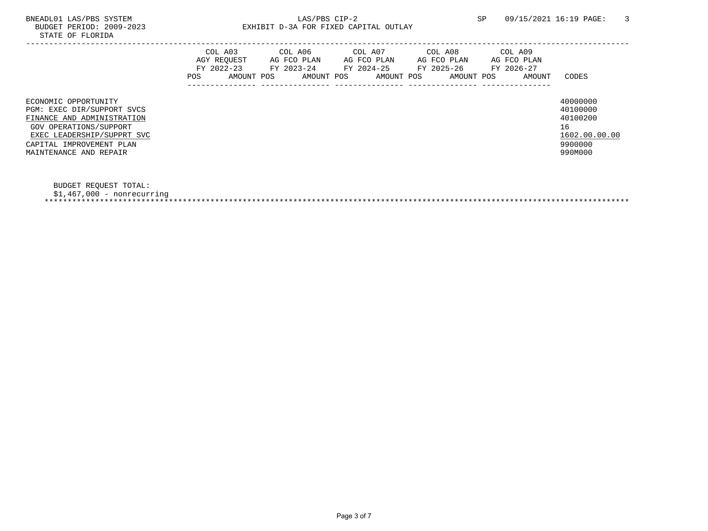# BNEADL01 LAS/PBS SYSTEM LAS/PBS CIP-2 SP 09/15/2021 16:19 PAGE: 3 EXHIBIT D-3A FOR FIXED CAPITAL OUTLAY

|                                                                                                                                                                                                | POS | COL A03<br>AGY REOUEST<br>FY 2022-23<br>AMOUNT POS | COL A06<br>AG FCO PLAN<br>FY 2023-24<br>AMOUNT POS | COL A07<br>AG FCO PLAN<br>FY 2024-25<br>AMOUNT POS | COL A08<br>AG FCO PLAN<br>FY 2025-26<br>AMOUNT POS | COL A09<br>AG FCO PLAN<br>FY 2026-27<br>AMOUNT | CODES                                                                         |
|------------------------------------------------------------------------------------------------------------------------------------------------------------------------------------------------|-----|----------------------------------------------------|----------------------------------------------------|----------------------------------------------------|----------------------------------------------------|------------------------------------------------|-------------------------------------------------------------------------------|
| ECONOMIC OPPORTUNITY<br>PGM: EXEC DIR/SUPPORT SVCS<br>FINANCE AND ADMINISTRATION<br>GOV OPERATIONS/SUPPORT<br>EXEC LEADERSHIP/SUPPRT SVC<br>CAPITAL IMPROVEMENT PLAN<br>MAINTENANCE AND REPAIR |     |                                                    |                                                    |                                                    |                                                    |                                                | 40000000<br>40100000<br>40100200<br>16<br>1602.00.00.00<br>9900000<br>990M000 |

BUDGET REQUEST TOTAL:

\$1,467,000 - nonrecurring

\*\*\*\*\*\*\*\*\*\*\*\*\*\*\*\*\*\*\*\*\*\*\*\*\*\*\*\*\*\*\*\*\*\*\*\*\*\*\*\*\*\*\*\*\*\*\*\*\*\*\*\*\*\*\*\*\*\*\*\*\*\*\*\*\*\*\*\*\*\*\*\*\*\*\*\*\*\*\*\*\*\*\*\*\*\*\*\*\*\*\*\*\*\*\*\*\*\*\*\*\*\*\*\*\*\*\*\*\*\*\*\*\*\*\*\*\*\*\*\*\*\*\*\*\*\*\*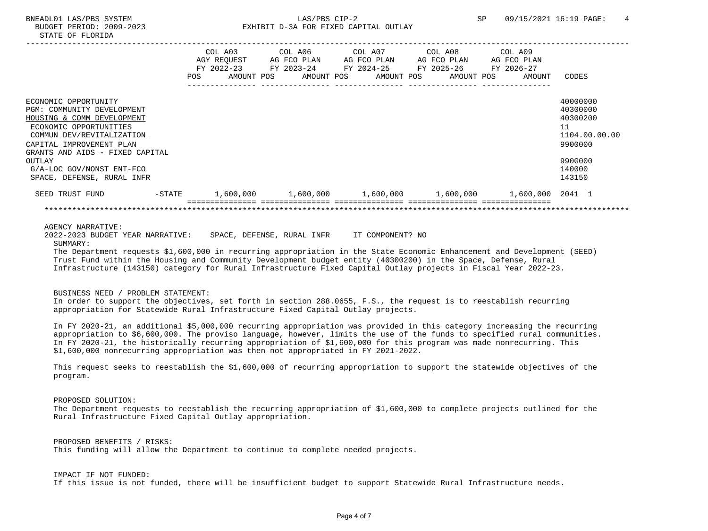|                                                                                                                                                                                                                                               |           | COL A03<br>AGY REOUEST<br>FY 2022-23<br><b>POS</b><br>AMOUNT POS | COL A06<br>AG FCO PLAN<br>FY 2023-24<br>AMOUNT POS | COL A07<br>AG FCO PLAN<br>FY 2024-25 | AMOUNT POS | COL A08<br>AG FCO PLAN<br>FY 2025-26<br>AMOUNT POS | COL A09<br>AG FCO PLAN<br>FY 2026-27<br>AMOUNT | CODES                                                                                   |
|-----------------------------------------------------------------------------------------------------------------------------------------------------------------------------------------------------------------------------------------------|-----------|------------------------------------------------------------------|----------------------------------------------------|--------------------------------------|------------|----------------------------------------------------|------------------------------------------------|-----------------------------------------------------------------------------------------|
| ECONOMIC OPPORTUNITY<br>PGM: COMMUNITY DEVELOPMENT<br>HOUSING & COMM DEVELOPMENT<br>ECONOMIC OPPORTUNITIES<br>COMMUN DEV/REVITALIZATION<br>CAPITAL IMPROVEMENT PLAN<br>GRANTS AND AIDS - FIXED CAPITAL<br>OUTLAY<br>G/A-LOC GOV/NONST ENT-FCO |           |                                                                  |                                                    |                                      |            |                                                    |                                                | 40000000<br>40300000<br>40300200<br>11<br>1104.00.00.00<br>9900000<br>990G000<br>140000 |
| SPACE, DEFENSE, RURAL INFR                                                                                                                                                                                                                    |           |                                                                  |                                                    |                                      |            |                                                    |                                                | 143150                                                                                  |
| SEED TRUST FUND                                                                                                                                                                                                                               | $-$ STATE | 1,600,000                                                        | 1,600,000                                          |                                      | 1,600,000  | 1,600,000                                          | 1,600,000                                      | 2041 1                                                                                  |
|                                                                                                                                                                                                                                               |           |                                                                  |                                                    |                                      |            |                                                    |                                                |                                                                                         |

### AGENCY NARRATIVE:

 2022-2023 BUDGET YEAR NARRATIVE: SPACE, DEFENSE, RURAL INFR IT COMPONENT? NO SUMMARY:

 The Department requests \$1,600,000 in recurring appropriation in the State Economic Enhancement and Development (SEED) Trust Fund within the Housing and Community Development budget entity (40300200) in the Space, Defense, Rural Infrastructure (143150) category for Rural Infrastructure Fixed Capital Outlay projects in Fiscal Year 2022-23.

## BUSINESS NEED / PROBLEM STATEMENT:

 In order to support the objectives, set forth in section 288.0655, F.S., the request is to reestablish recurring appropriation for Statewide Rural Infrastructure Fixed Capital Outlay projects.

 In FY 2020-21, an additional \$5,000,000 recurring appropriation was provided in this category increasing the recurring appropriation to \$6,600,000. The proviso language, however, limits the use of the funds to specified rural communities. In FY 2020-21, the historically recurring appropriation of \$1,600,000 for this program was made nonrecurring. This \$1,600,000 nonrecurring appropriation was then not appropriated in FY 2021-2022.

 This request seeks to reestablish the \$1,600,000 of recurring appropriation to support the statewide objectives of the program.

# PROPOSED SOLUTION:

 The Department requests to reestablish the recurring appropriation of \$1,600,000 to complete projects outlined for the Rural Infrastructure Fixed Capital Outlay appropriation.

 PROPOSED BENEFITS / RISKS: This funding will allow the Department to continue to complete needed projects.

 IMPACT IF NOT FUNDED: If this issue is not funded, there will be insufficient budget to support Statewide Rural Infrastructure needs.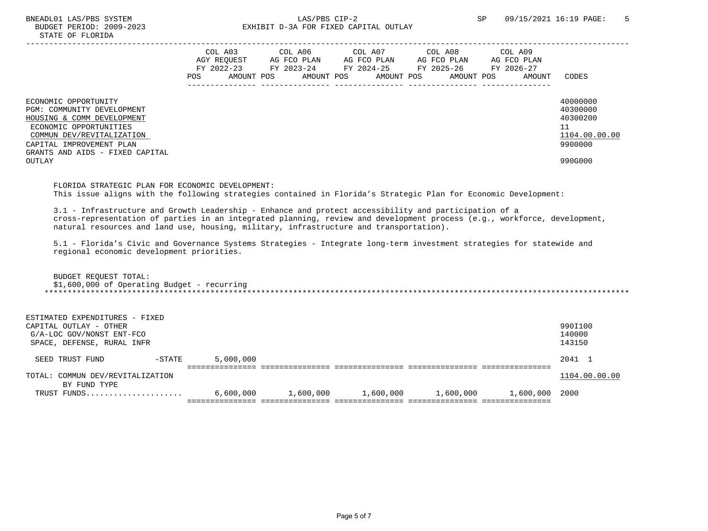|                                                                                  | COL A03<br>AGY REOUEST<br>FY 2022-23<br>POS<br>AMOUNT POS |  | COL A06<br>AG FCO PLAN<br>FY 2023-24<br>AMOUNT POS |  | COL A07<br>AG FCO PLAN<br>FY 2024-25<br>AMOUNT POS |  | COL A08<br>AG FCO PLAN<br>FY 2025-26<br>AMOUNT POS |  | COL A09<br>AG FCO PLAN<br>FY 2026-27<br>AMOUNT |  | CODES                            |
|----------------------------------------------------------------------------------|-----------------------------------------------------------|--|----------------------------------------------------|--|----------------------------------------------------|--|----------------------------------------------------|--|------------------------------------------------|--|----------------------------------|
|                                                                                  |                                                           |  |                                                    |  |                                                    |  |                                                    |  |                                                |  |                                  |
| ECONOMIC OPPORTUNITY<br>PGM: COMMUNITY DEVELOPMENT<br>HOUSING & COMM DEVELOPMENT |                                                           |  |                                                    |  |                                                    |  |                                                    |  |                                                |  | 40000000<br>40300000<br>40300200 |
| ECONOMIC OPPORTUNITIES<br>COMMUN DEV/REVITALIZATION                              |                                                           |  |                                                    |  |                                                    |  |                                                    |  |                                                |  | 11<br>1104.00.00.00              |
| CAPITAL IMPROVEMENT PLAN<br>GRANTS AND AIDS - FIXED CAPITAL                      |                                                           |  |                                                    |  |                                                    |  |                                                    |  |                                                |  | 9900000                          |
| OUTLAY                                                                           |                                                           |  |                                                    |  |                                                    |  |                                                    |  |                                                |  | 990G000                          |

 FLORIDA STRATEGIC PLAN FOR ECONOMIC DEVELOPMENT: This issue aligns with the following strategies contained in Florida's Strategic Plan for Economic Development:

 3.1 - Infrastructure and Growth Leadership - Enhance and protect accessibility and participation of a cross-representation of parties in an integrated planning, review and development process (e.g., workforce, development, natural resources and land use, housing, military, infrastructure and transportation).

 5.1 - Florida's Civic and Governance Systems Strategies - Integrate long-term investment strategies for statewide and regional economic development priorities.

| BUDGET REOUEST TOTAL:                       |
|---------------------------------------------|
| \$1,600,000 of Operating Budget - recurring |
|                                             |

| ESTIMATED EXPENDITURES - FIXED   |           |           |           |           |           |           |               |
|----------------------------------|-----------|-----------|-----------|-----------|-----------|-----------|---------------|
| CAPITAL OUTLAY - OTHER           |           |           |           |           |           |           | 990I100       |
| G/A-LOC GOV/NONST ENT-FCO        |           |           |           |           |           |           | 140000        |
| SPACE, DEFENSE, RURAL INFR       |           |           |           |           |           |           | 143150        |
| SEED TRUST FUND                  | $-$ STATE | 5,000,000 |           |           |           |           | 2041 1        |
| TOTAL: COMMUN DEV/REVITALIZATION |           |           |           |           |           |           | 1104.00.00.00 |
| BY FUND TYPE                     |           |           |           |           |           |           |               |
| TRUST FUNDS                      |           | 6,600,000 | 1,600,000 | 1,600,000 | 1,600,000 | 1,600,000 | 2000          |
|                                  |           |           |           |           |           |           |               |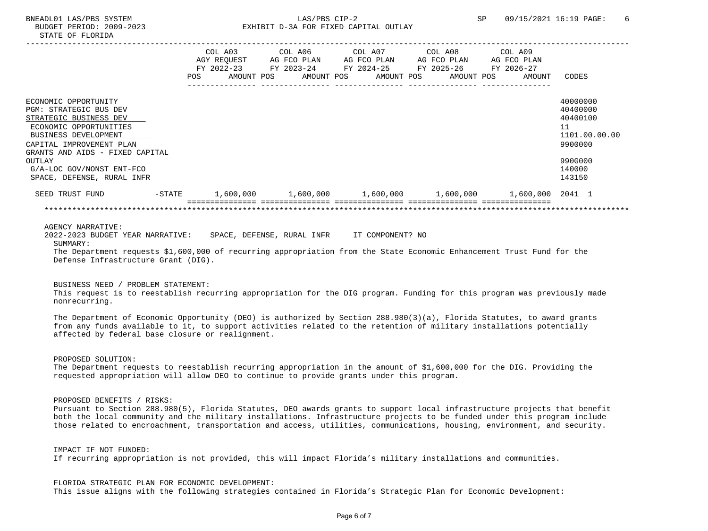|                                                                                                                                                                                                            |           | COL A03<br>AGY REOUEST<br>FY 2022-23<br>POS<br>AMOUNT POS | COL A06<br>AG FCO PLAN<br>FY 2023-24<br>AMOUNT POS | COL A07<br>AG FCO PLAN<br>FY 2024-25 | AMOUNT POS | COL A08<br>AG FCO PLAN<br>FY 2025-26<br>AMOUNT POS | COL A09<br>AG FCO PLAN<br>FY 2026-27<br>AMOUNT | CODES                                                                         |
|------------------------------------------------------------------------------------------------------------------------------------------------------------------------------------------------------------|-----------|-----------------------------------------------------------|----------------------------------------------------|--------------------------------------|------------|----------------------------------------------------|------------------------------------------------|-------------------------------------------------------------------------------|
| ECONOMIC OPPORTUNITY<br><b>PGM: STRATEGIC BUS DEV</b><br>STRATEGIC BUSINESS DEV<br>ECONOMIC OPPORTUNITIES<br>BUSINESS DEVELOPMENT<br>CAPITAL IMPROVEMENT PLAN<br>GRANTS AND AIDS - FIXED CAPITAL<br>OUTLAY |           |                                                           |                                                    |                                      |            |                                                    |                                                | 40000000<br>40400000<br>40400100<br>11<br>1101.00.00.00<br>9900000<br>990G000 |
| G/A-LOC GOV/NONST ENT-FCO<br>SPACE, DEFENSE, RURAL INFR                                                                                                                                                    |           |                                                           |                                                    |                                      |            |                                                    |                                                | 140000<br>143150                                                              |
| SEED TRUST FUND                                                                                                                                                                                            | $-$ STATE | 1,600,000                                                 | 1,600,000                                          |                                      | 1,600,000  | 1,600,000                                          | 1,600,000                                      | 2041 1                                                                        |
|                                                                                                                                                                                                            |           |                                                           |                                                    |                                      |            |                                                    |                                                |                                                                               |

#### AGENCY NARRATIVE:

 2022-2023 BUDGET YEAR NARRATIVE: SPACE, DEFENSE, RURAL INFR IT COMPONENT? NO SUMMARY: The Department requests \$1,600,000 of recurring appropriation from the State Economic Enhancement Trust Fund for the Defense Infrastructure Grant (DIG).

### BUSINESS NEED / PROBLEM STATEMENT:

 This request is to reestablish recurring appropriation for the DIG program. Funding for this program was previously made nonrecurring.

 The Department of Economic Opportunity (DEO) is authorized by Section 288.980(3)(a), Florida Statutes, to award grants from any funds available to it, to support activities related to the retention of military installations potentially affected by federal base closure or realignment.

PROPOSED SOLUTION:

 The Department requests to reestablish recurring appropriation in the amount of \$1,600,000 for the DIG. Providing the requested appropriation will allow DEO to continue to provide grants under this program.

PROPOSED BENEFITS / RISKS:

 Pursuant to Section 288.980(5), Florida Statutes, DEO awards grants to support local infrastructure projects that benefit both the local community and the military installations. Infrastructure projects to be funded under this program include those related to encroachment, transportation and access, utilities, communications, housing, environment, and security.

 IMPACT IF NOT FUNDED: If recurring appropriation is not provided, this will impact Florida's military installations and communities.

 FLORIDA STRATEGIC PLAN FOR ECONOMIC DEVELOPMENT: This issue aligns with the following strategies contained in Florida's Strategic Plan for Economic Development: